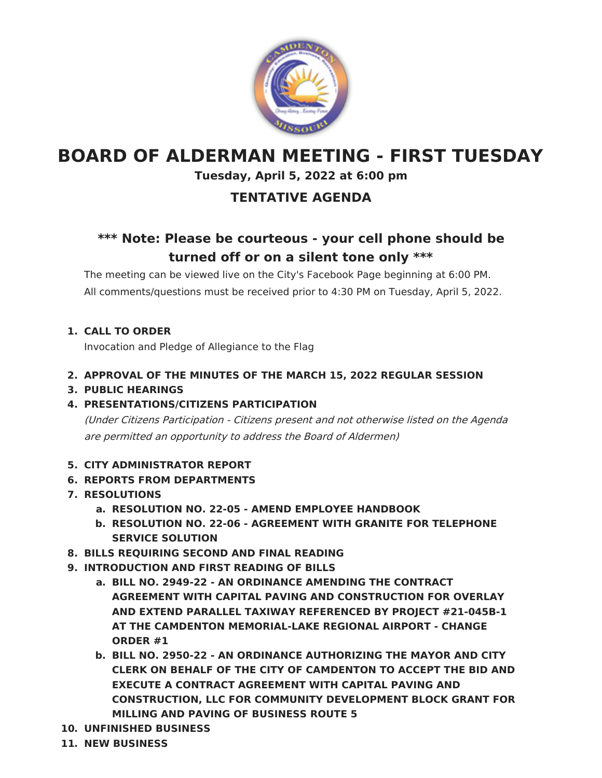

# **BOARD OF ALDERMAN MEETING - FIRST TUESDAY**

### **Tuesday, April 5, 2022 at 6:00 pm**

## **TENTATIVE AGENDA**

# **\*\*\* Note: Please be courteous - your cell phone should be turned off or on a silent tone only \*\*\***

The meeting can be viewed live on the City's Facebook Page beginning at 6:00 PM. All comments/questions must be received prior to 4:30 PM on Tuesday, April 5, 2022.

**1. CALL TO ORDER**

Invocation and Pledge of Allegiance to the Flag

- **2. APPROVAL OF THE MINUTES OF THE MARCH 15, 2022 REGULAR SESSION**
- **3. PUBLIC HEARINGS**

### **4. PRESENTATIONS/CITIZENS PARTICIPATION**

(Under Citizens Participation - Citizens present and not otherwise listed on the Agenda are permitted an opportunity to address the Board of Aldermen)

### **5. CITY ADMINISTRATOR REPORT**

- **6. REPORTS FROM DEPARTMENTS**
- **7. RESOLUTIONS**
	- **a. RESOLUTION NO. 22-05 - AMEND EMPLOYEE HANDBOOK**
	- **b. RESOLUTION NO. 22-06 - AGREEMENT WITH GRANITE FOR TELEPHONE SERVICE SOLUTION**
- **8. BILLS REQUIRING SECOND AND FINAL READING**
- **9. INTRODUCTION AND FIRST READING OF BILLS**
	- **a. BILL NO. 2949-22 - AN ORDINANCE AMENDING THE CONTRACT AGREEMENT WITH CAPITAL PAVING AND CONSTRUCTION FOR OVERLAY AND EXTEND PARALLEL TAXIWAY REFERENCED BY PROJECT #21-045B-1 AT THE CAMDENTON MEMORIAL-LAKE REGIONAL AIRPORT - CHANGE ORDER #1**
	- **b. BILL NO. 2950-22 - AN ORDINANCE AUTHORIZING THE MAYOR AND CITY CLERK ON BEHALF OF THE CITY OF CAMDENTON TO ACCEPT THE BID AND EXECUTE A CONTRACT AGREEMENT WITH CAPITAL PAVING AND CONSTRUCTION, LLC FOR COMMUNITY DEVELOPMENT BLOCK GRANT FOR MILLING AND PAVING OF BUSINESS ROUTE 5**
- **10. UNFINISHED BUSINESS**
- **11. NEW BUSINESS**